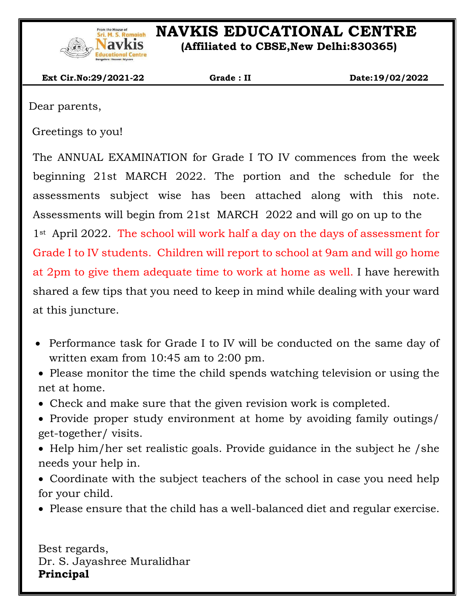

# **NAVKIS EDUCATIONAL CENTRE**

 **(Affiliated to CBSE,New Delhi:830365)**

 **Ext Cir.No:29/2021-22 Grade : II Date:19/02/2022**

Dear parents,

 $\overline{\phantom{a}}$ 

Greetings to you!

The ANNUAL EXAMINATION for Grade I TO IV commences from the week beginning 21st MARCH 2022. The portion and the schedule for the assessments subject wise has been attached along with this note. Assessments will begin from 21st MARCH 2022 and will go on up to the 1st April 2022. The school will work half a day on the days of assessment for Grade I to IV students. Children will report to school at 9am and will go home at 2pm to give them adequate time to work at home as well. I have herewith shared a few tips that you need to keep in mind while dealing with your ward at this juncture.

- Performance task for Grade I to IV will be conducted on the same day of written exam from 10:45 am to 2:00 pm.
- Please monitor the time the child spends watching television or using the net at home.
- Check and make sure that the given revision work is completed.
- Provide proper study environment at home by avoiding family outings/ get-together/ visits.
- Help him/her set realistic goals. Provide guidance in the subject he /she needs your help in.
- Coordinate with the subject teachers of the school in case you need help for your child.
- Please ensure that the child has a well-balanced diet and regular exercise.

Best regards, Dr. S. Jayashree Muralidhar **Principal**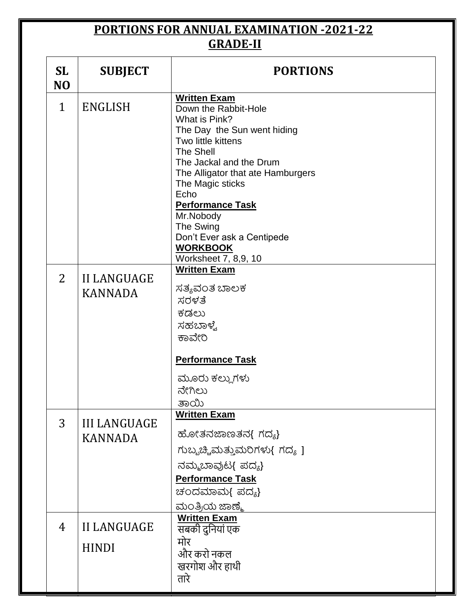### **PORTIONS FOR ANNUAL EXAMINATION -2021-22 GRADE-II**

| <b>SL</b><br>N <sub>O</sub>                            | <b>SUBJECT</b>                        | <b>PORTIONS</b>                                                                                                                                                                                                                                                                                                                  |  |
|--------------------------------------------------------|---------------------------------------|----------------------------------------------------------------------------------------------------------------------------------------------------------------------------------------------------------------------------------------------------------------------------------------------------------------------------------|--|
| $\mathbf{1}$                                           | <b>ENGLISH</b>                        | <b>Written Exam</b><br>Down the Rabbit-Hole<br>What is Pink?<br>The Day the Sun went hiding<br>Two little kittens<br>The Shell<br>The Jackal and the Drum<br>The Alligator that ate Hamburgers<br>The Magic sticks<br>Echo<br><b>Performance Task</b><br>Mr.Nobody<br>The Swing<br>Don't Ever ask a Centipede<br><b>WORKBOOK</b> |  |
| $\overline{2}$<br><b>II LANGUAGE</b><br><b>KANNADA</b> |                                       | Worksheet 7, 8,9, 10<br><b>Written Exam</b><br>ಸತ್ಯವಂತ ಬಾಲಕ<br>ಸರಳತೆ<br>ಕಡಲು<br>ಸಹಬಾಳ್ವೆ<br>ಕಾವೇರಿ                                                                                                                                                                                                                               |  |
|                                                        |                                       | <b>Performance Task</b><br>ಮೂರು ಕಲ್ಲುಗಳು<br>ನೇಗಿಲು<br>ತಾಯಿ                                                                                                                                                                                                                                                                       |  |
| 3                                                      | <b>III LANGUAGE</b><br><b>KANNADA</b> | <b>Written Exam</b><br>ಹೋತನಜಾಣತನ{ ಗದ್ಯ}<br>ಗುಬ್ಬಚ್ಚಿಮತ್ತುಮರಿಗಳು{ ಗದ್ಯ ]<br>ನಮ್ಮಬಾವುಟ{ ಪದ್ಯ}<br><b>Performance Task</b><br>ಚಂದಮಾಮ{ ಪದ್ಯ}<br>ಮಂತ್ರಿಯ ಜಾಣ್ಮೆ                                                                                                                                                                        |  |
| 4                                                      | <b>II LANGUAGE</b><br><b>HINDI</b>    | <b>Written Exam</b><br>सबकी दुनियां एक<br>मोर<br>और करो नकल<br>खरगोश और हाथी<br>तारे                                                                                                                                                                                                                                             |  |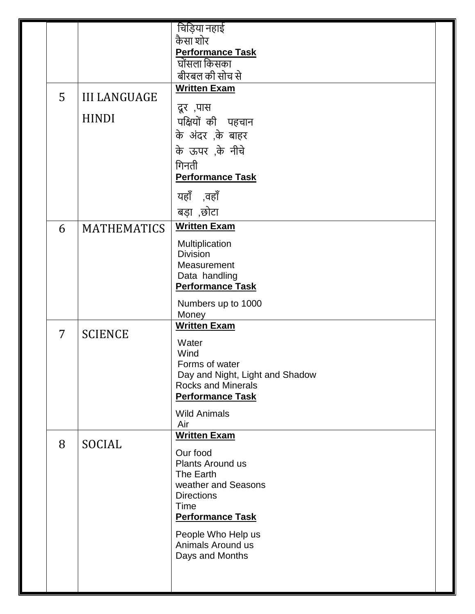|  |                |                     | चिड़िया नहाई                                                 |  |  |
|--|----------------|---------------------|--------------------------------------------------------------|--|--|
|  |                |                     | कैसा शोर                                                     |  |  |
|  |                |                     | <b>Performance Task</b>                                      |  |  |
|  |                |                     | घोंसला किसका                                                 |  |  |
|  |                |                     | बीरबल की सोच से                                              |  |  |
|  | 5              | <b>III LANGUAGE</b> | <b>Written Exam</b>                                          |  |  |
|  |                |                     | दूर ,पास                                                     |  |  |
|  |                | <b>HINDI</b>        | पक्षियों की पहचान                                            |  |  |
|  |                |                     | के अंदर ,के बाहर                                             |  |  |
|  |                |                     | के ऊपर ,के नीचे                                              |  |  |
|  |                |                     | गिनती                                                        |  |  |
|  |                |                     | <b>Performance Task</b>                                      |  |  |
|  |                |                     | यहाँ ,वहाँ                                                   |  |  |
|  |                |                     | बड़ा ,छोटा                                                   |  |  |
|  | 6              | <b>MATHEMATICS</b>  | <b>Written Exam</b>                                          |  |  |
|  |                |                     | Multiplication                                               |  |  |
|  |                |                     | <b>Division</b>                                              |  |  |
|  |                |                     | Measurement<br>Data handling                                 |  |  |
|  |                |                     | <b>Performance Task</b>                                      |  |  |
|  |                |                     | Numbers up to 1000                                           |  |  |
|  |                |                     | Money                                                        |  |  |
|  | $\overline{7}$ | <b>SCIENCE</b>      | <b>Written Exam</b>                                          |  |  |
|  |                |                     | Water                                                        |  |  |
|  |                |                     | Wind                                                         |  |  |
|  |                |                     | Forms of water                                               |  |  |
|  |                |                     | Day and Night, Light and Shadow<br><b>Rocks and Minerals</b> |  |  |
|  |                |                     | <b>Performance Task</b>                                      |  |  |
|  |                |                     | <b>Wild Animals</b>                                          |  |  |
|  |                |                     | Air                                                          |  |  |
|  | 8              | <b>SOCIAL</b>       | <b>Written Exam</b>                                          |  |  |
|  |                |                     | Our food                                                     |  |  |
|  |                |                     | Plants Around us                                             |  |  |
|  |                |                     | The Earth<br>weather and Seasons                             |  |  |
|  |                |                     | <b>Directions</b>                                            |  |  |
|  |                |                     | Time                                                         |  |  |
|  |                |                     | <b>Performance Task</b>                                      |  |  |
|  |                |                     | People Who Help us                                           |  |  |
|  |                |                     | Animals Around us                                            |  |  |
|  |                |                     | Days and Months                                              |  |  |
|  |                |                     |                                                              |  |  |
|  |                |                     |                                                              |  |  |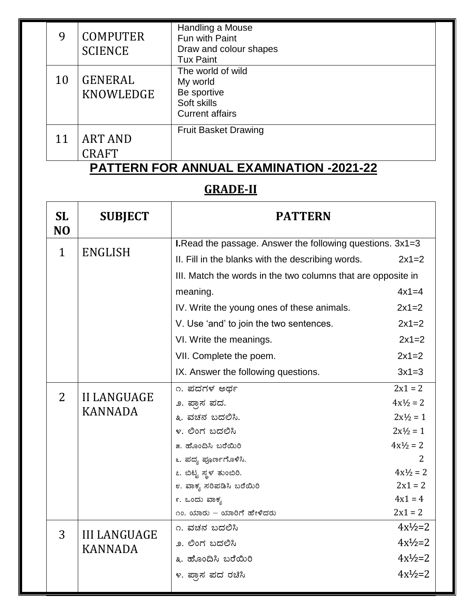| 9  | <b>COMPUTER</b><br><b>SCIENCE</b> | Handling a Mouse<br>Fun with Paint<br>Draw and colour shapes<br><b>Tux Paint</b>      |  |
|----|-----------------------------------|---------------------------------------------------------------------------------------|--|
| 10 | <b>GENERAL</b><br>KNOWLEDGE       | The world of wild<br>My world<br>Be sportive<br>Soft skills<br><b>Current affairs</b> |  |
| 11 | <b>ART AND</b><br>CRAFT           | <b>Fruit Basket Drawing</b>                                                           |  |

#### **PATTERN FOR ANNUAL EXAMINATION -2021-22**

## **GRADE-II**

| <b>SL</b><br>N <sub>O</sub> | <b>SUBJECT</b>      | <b>PATTERN</b>                                               |                     |  |
|-----------------------------|---------------------|--------------------------------------------------------------|---------------------|--|
|                             |                     | I.Read the passage. Answer the following questions. 3x1=3    |                     |  |
| $\mathbf{1}$                | <b>ENGLISH</b>      | II. Fill in the blanks with the describing words.            | $2x1=2$             |  |
|                             |                     | III. Match the words in the two columns that are opposite in |                     |  |
|                             |                     | meaning.                                                     | $4x1=4$             |  |
|                             |                     | IV. Write the young ones of these animals.                   | $2x1=2$             |  |
|                             |                     | V. Use 'and' to join the two sentences.                      | $2x1=2$             |  |
|                             |                     | VI. Write the meanings.                                      | $2x1=2$             |  |
|                             |                     | VII. Complete the poem.                                      | $2x1=2$             |  |
|                             |                     | IX. Answer the following questions.                          | $3x1=3$             |  |
|                             |                     | ೧. ಪದಗಳ ಅರ್ಥ                                                 | $2x1 = 2$           |  |
| $\overline{2}$              | <b>II LANGUAGE</b>  | ೨. ಪ್ರಾಸ ಪದ.                                                 | $4x^{1/2} = 2$      |  |
|                             | <b>KANNADA</b>      | ೩. ವಚನ ಬದಲಿಸಿ.                                               | $2x\frac{1}{2} = 1$ |  |
|                             |                     | ೪. ಲಿಂಗ ಬದಲಿಸಿ                                               | $2x^{1/2} = 1$      |  |
|                             |                     | ೫. ಹೊಂದಿಸಿ ಬರೆಯಿರಿ                                           | $4x\frac{1}{2} = 2$ |  |
|                             |                     | ೬. ಪದ್ಯ ಪೂರ್ಣಗೊಳಿಸಿ.                                         | $\mathcal{L}$       |  |
|                             |                     | ೭. ಬಿಟ್ಟ ಸ್ಥಳ ತುಂಬಿರಿ.                                       | $4x\frac{1}{2} = 2$ |  |
|                             |                     | ೮. ವಾಕ್ಯ ಸರಿಪಡಿಸಿ ಬರೆಯಿರಿ                                    | $2x1 = 2$           |  |
|                             |                     | ೯. ಒಂದು ವಾಕ್ಯ                                                | $4x1 = 4$           |  |
|                             |                     | ೧೦. ಯಾರು – ಯಾರಿಗೆ ಹೇಳಿದರು                                    | $2x1 = 2$           |  |
| 3                           | <b>III LANGUAGE</b> | ೧. ವಚನ ಬದಲಿಸಿ                                                | $4x^{1}/2=2$        |  |
|                             | <b>KANNADA</b>      | ೨. ಲಿಂಗ ಬದಲಿಸಿ                                               | $4x^{1}/_{2}=2$     |  |
|                             |                     | ೩. ಹೊಂದಿಸಿ ಬರೆಯಿರಿ                                           | $4x\frac{1}{2}=2$   |  |
|                             |                     | ೪. ಪ್ರಾಸ ಪದ ರಚಿಸಿ                                            | $4x\frac{1}{2}=2$   |  |
|                             |                     |                                                              |                     |  |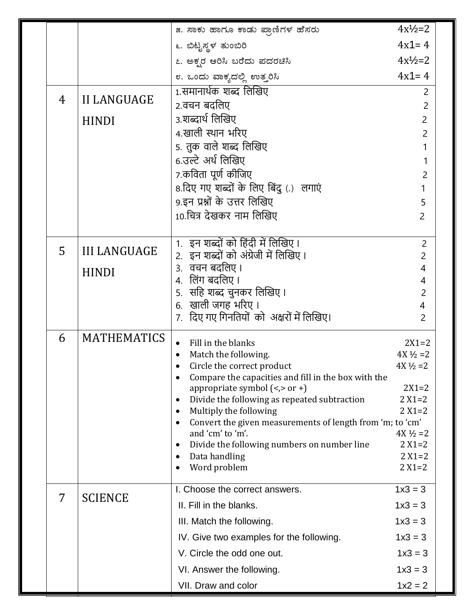|   |                     | ೫. ಸಾಕು ಹಾಗೂ ಕಾಡು ಪ್ರಾಣಿಗಳ ಹೆಸರು                                                                | $4x\frac{1}{2}=2$                 |
|---|---------------------|-------------------------------------------------------------------------------------------------|-----------------------------------|
|   |                     | ೬. ಬಿಟ್ಟಸ್ಥಳ ತುಂಬಿರಿ                                                                            | $4x1 = 4$                         |
|   |                     | ೭. ಅಕ್ಖರ ಆರಿಸಿ ಬರೆದು ಪದರಚಿಸಿ                                                                    | $4x\frac{1}{2}=2$                 |
|   |                     | ೮. ಒಂದು ವಾಕ್ಯದಲ್ಲಿ ಉತ್ತರಿಸಿ                                                                     | $4x1 = 4$                         |
|   |                     | 1.समानार्थक शब्द लिखिए                                                                          | $\overline{2}$                    |
| 4 | <b>II LANGUAGE</b>  | 2.वचन बदलिए                                                                                     | $\overline{2}$                    |
|   | <b>HINDI</b>        | 3.शब्दार्थ लिखिए                                                                                | $\overline{2}$                    |
|   |                     | 4.खाली स्थान भरिए                                                                               | $\overline{2}$                    |
|   |                     | 5. तुक वाले शब्द लिखिए                                                                          |                                   |
|   |                     | 6.उल्टे अर्थ लिखिए                                                                              | 1                                 |
|   |                     | 7.कविता पूर्ण कीजिए                                                                             | 2                                 |
|   |                     | 8.दिए गए शब्दों के लिए बिंदु (.) लगाएं                                                          |                                   |
|   |                     | 9.इन प्रश्नों के उत्तर लिखिए                                                                    | 5                                 |
|   |                     | 10.चित्र देखकर नाम लिखिए                                                                        | $\overline{2}$                    |
|   |                     | 1. इन शब्दों को हिंदी में लिखिए।                                                                |                                   |
| 5 | <b>III LANGUAGE</b> | 2. इन शब्दों को अंग्रेजी में लिखिए।                                                             | 2<br>$\overline{2}$               |
|   |                     | ३. वचन बदलिए ।                                                                                  | 4                                 |
|   | <b>HINDI</b>        | 4. लिंग बदलिए ।                                                                                 | 4                                 |
|   |                     | 5.  सहि शब्द चुनकर लिखिए ।                                                                      | $\overline{2}$                    |
|   |                     | 6.  खाली जगह भरिए ।                                                                             | 4                                 |
|   |                     | 7. दिए गए गिनतियों को अक्षरों में लिखिए।                                                        | 2                                 |
| 6 | <b>MATHEMATICS</b>  | Fill in the blanks<br>$\bullet$                                                                 | $2X1 = 2$                         |
|   |                     | Match the following.                                                                            | $4X\frac{1}{2} = 2$               |
|   |                     | Circle the correct product                                                                      | $4X\frac{1}{2} = 2$               |
|   |                     | Compare the capacities and fill in the box with the<br>$\bullet$                                | $2X1 = 2$                         |
|   |                     | appropriate symbol $(\le, > or +)$<br>Divide the following as repeated subtraction<br>$\bullet$ | $2 X1 = 2$                        |
|   |                     | Multiply the following<br>$\bullet$                                                             | $2 X1 = 2$                        |
|   |                     | Convert the given measurements of length from 'm; to 'cm'<br>$\bullet$                          |                                   |
|   |                     | and 'cm' to 'm'.<br>$\bullet$                                                                   | $4X\frac{1}{2} = 2$<br>$2 X1 = 2$ |
|   |                     | Divide the following numbers on number line<br>Data handling<br>٠                               | $2 X1 = 2$                        |
|   |                     | Word problem<br>$\bullet$                                                                       | $2 X1 = 2$                        |
|   |                     | I. Choose the correct answers.                                                                  | $1x3 = 3$                         |
| 7 | <b>SCIENCE</b>      | II. Fill in the blanks.                                                                         | $1x3 = 3$                         |
|   |                     | III. Match the following.                                                                       | $1x3 = 3$                         |
|   |                     | IV. Give two examples for the following.                                                        | $1x3 = 3$                         |
|   |                     | V. Circle the odd one out.                                                                      | $1x3 = 3$                         |
|   |                     | VI. Answer the following.                                                                       | $1x3 = 3$                         |
|   |                     | VII. Draw and color                                                                             | $1x^2 = 2$                        |